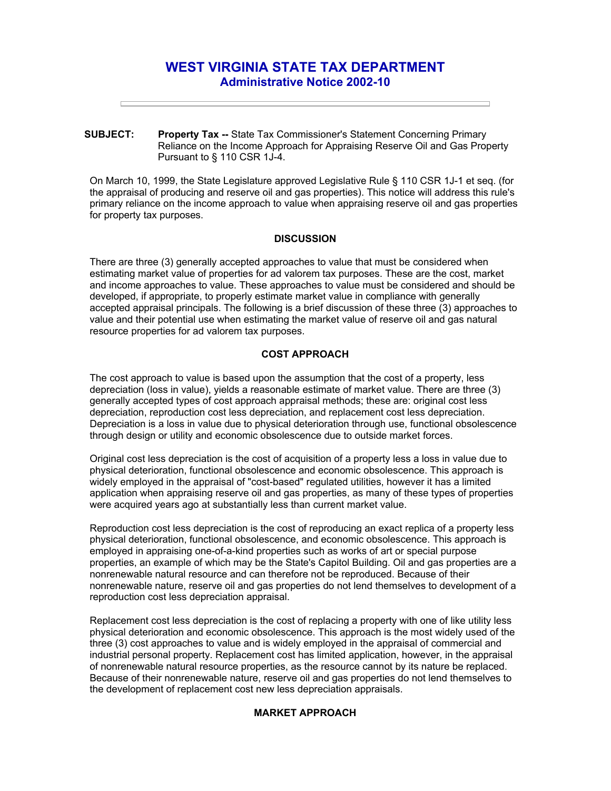# **WEST VIRGINIA STATE TAX DEPARTMENT Administrative Notice 2002-10**

**SUBJECT: Property Tax --** State Tax Commissioner's Statement Concerning Primary Reliance on the Income Approach for Appraising Reserve Oil and Gas Property Pursuant to § 110 CSR 1J-4.

On March 10, 1999, the State Legislature approved Legislative Rule § 110 CSR 1J-1 et seq. (for the appraisal of producing and reserve oil and gas properties). This notice will address this rule's primary reliance on the income approach to value when appraising reserve oil and gas properties for property tax purposes.

### **DISCUSSION**

There are three (3) generally accepted approaches to value that must be considered when estimating market value of properties for ad valorem tax purposes. These are the cost, market and income approaches to value. These approaches to value must be considered and should be developed, if appropriate, to properly estimate market value in compliance with generally accepted appraisal principals. The following is a brief discussion of these three (3) approaches to value and their potential use when estimating the market value of reserve oil and gas natural resource properties for ad valorem tax purposes.

## **COST APPROACH**

The cost approach to value is based upon the assumption that the cost of a property, less depreciation (loss in value), yields a reasonable estimate of market value. There are three (3) generally accepted types of cost approach appraisal methods; these are: original cost less depreciation, reproduction cost less depreciation, and replacement cost less depreciation. Depreciation is a loss in value due to physical deterioration through use, functional obsolescence through design or utility and economic obsolescence due to outside market forces.

Original cost less depreciation is the cost of acquisition of a property less a loss in value due to physical deterioration, functional obsolescence and economic obsolescence. This approach is widely employed in the appraisal of "cost-based" regulated utilities, however it has a limited application when appraising reserve oil and gas properties, as many of these types of properties were acquired years ago at substantially less than current market value.

Reproduction cost less depreciation is the cost of reproducing an exact replica of a property less physical deterioration, functional obsolescence, and economic obsolescence. This approach is employed in appraising one-of-a-kind properties such as works of art or special purpose properties, an example of which may be the State's Capitol Building. Oil and gas properties are a nonrenewable natural resource and can therefore not be reproduced. Because of their nonrenewable nature, reserve oil and gas properties do not lend themselves to development of a reproduction cost less depreciation appraisal.

Replacement cost less depreciation is the cost of replacing a property with one of like utility less physical deterioration and economic obsolescence. This approach is the most widely used of the three (3) cost approaches to value and is widely employed in the appraisal of commercial and industrial personal property. Replacement cost has limited application, however, in the appraisal of nonrenewable natural resource properties, as the resource cannot by its nature be replaced. Because of their nonrenewable nature, reserve oil and gas properties do not lend themselves to the development of replacement cost new less depreciation appraisals.

## **MARKET APPROACH**